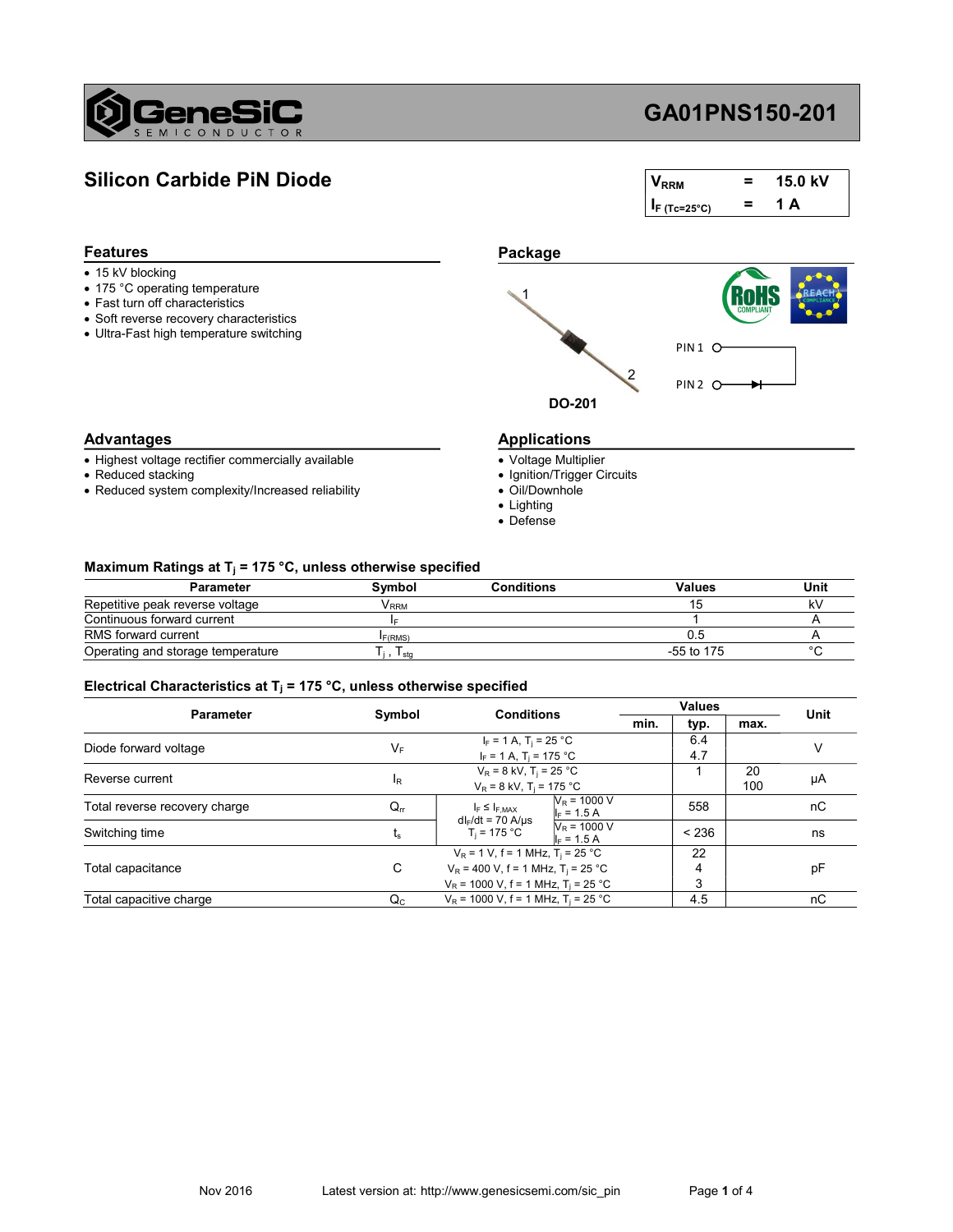

## GA01PNS150-201

## Silicon Carbide PiN Diode

| <b>V</b> <sub>RRM</sub> | = | 15.0 kV |
|-------------------------|---|---------|
| $I_F$ (Tc=25°C)         | = | A<br>1. |

| Package             |                               |
|---------------------|-------------------------------|
|                     | <b>COMPLIANT</b>              |
|                     | PIN <sub>1</sub>              |
|                     | PIN <sub>2</sub> <sup>(</sup> |
|                     |                               |
| <b>Applications</b> |                               |
|                     | <b>DO-201</b>                 |

#### Advantages

Features

- Highest voltage rectifier commercially available
- Reduced stacking
- Reduced system complexity/Increased reliability
- Voltage Multiplier
- Ignition/Trigger Circuits
- Oil/Downhole
- Lighting
- Defense

#### Maximum Ratings at T<sub>j</sub> = 175 °C, unless otherwise specified

| <b>Parameter</b>                  | Symbol | <b>Conditions</b> | Values       | Unit   |
|-----------------------------------|--------|-------------------|--------------|--------|
| Repetitive peak reverse voltage   | V RRM  |                   |              |        |
| Continuous forward current        |        |                   |              |        |
| RMS forward current               | F(RMS) |                   |              |        |
| Operating and storage temperature | I sta  |                   | $-55$ to 175 | $\sim$ |

#### Electrical Characteristics at T<sub>j</sub> = 175 °C, unless otherwise specified

| <b>Parameter</b>              |                           | <b>Conditions</b>                                                                                                                                       |  | <b>Values</b> |           | Unit |
|-------------------------------|---------------------------|---------------------------------------------------------------------------------------------------------------------------------------------------------|--|---------------|-----------|------|
|                               | Symbol                    | min.                                                                                                                                                    |  | typ.          | max.      |      |
| Diode forward voltage         | $V_F$                     | $I_F = 1 A$ , $T_i = 25 °C$<br>$I_F = 1 A$ , T <sub>i</sub> = 175 °C                                                                                    |  | 6.4<br>4.7    |           |      |
| Reverse current               | <sup>I</sup> R            | $V_R = 8$ kV, T <sub>j</sub> = 25 °C<br>$V_R = 8$ kV, T <sub>i</sub> = 175 °C                                                                           |  |               | 20<br>100 | μA   |
| Total reverse recovery charge | $Q_{rr}$                  | $N_R$ = 1000 V<br>$I_F \leq I_{F,MAX}$<br>$I_F = 1.5 A$<br>$dl_F/dt = 70$ A/µs                                                                          |  | 558           |           | nС   |
| Switching time                | $t_{\rm s}$               | $N_R = 1000 V$<br>$T_i = 175 °C$<br>$I_F = 1.5 A$                                                                                                       |  | < 236         |           | ns   |
| Total capacitance             | C                         | $V_R$ = 1 V, f = 1 MHz, T <sub>i</sub> = 25 °C<br>$V_R$ = 400 V, f = 1 MHz, T <sub>i</sub> = 25 °C<br>$V_R$ = 1000 V, f = 1 MHz, T <sub>i</sub> = 25 °C |  | 22<br>4<br>3  |           | рF   |
| Total capacitive charge       | $\mathsf{Q}_{\mathrm{C}}$ | $V_R$ = 1000 V, f = 1 MHz, T <sub>i</sub> = 25 °C                                                                                                       |  | 4.5           |           | nС   |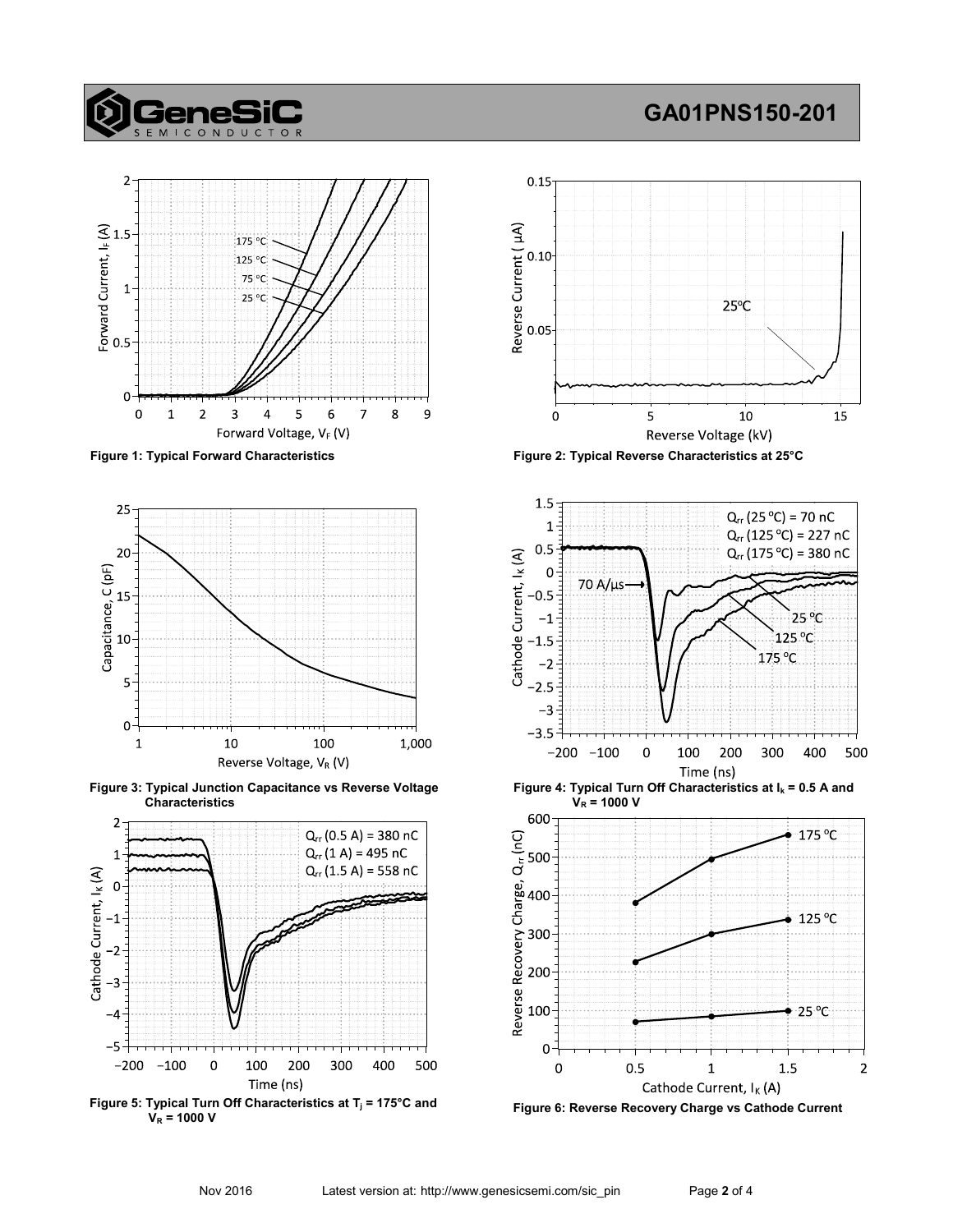# **Genes**

# GA01PNS150-201





Figure 3: Typical Junction Capacitance vs Reverse Voltage Characteristics



Figure 5: Typical Turn Off Characteristics at  $T_j = 175^{\circ}$ C and  $V_R = 1000 V$ 



Figure 1: Typical Forward Characteristics Figure 2: Typical Reverse Characteristics at 25°C



Figure 4: Typical Turn Off Characteristics at  $I_k = 0.5$  A and  $V_R = 1000 V$ 



Figure 6: Reverse Recovery Charge vs Cathode Current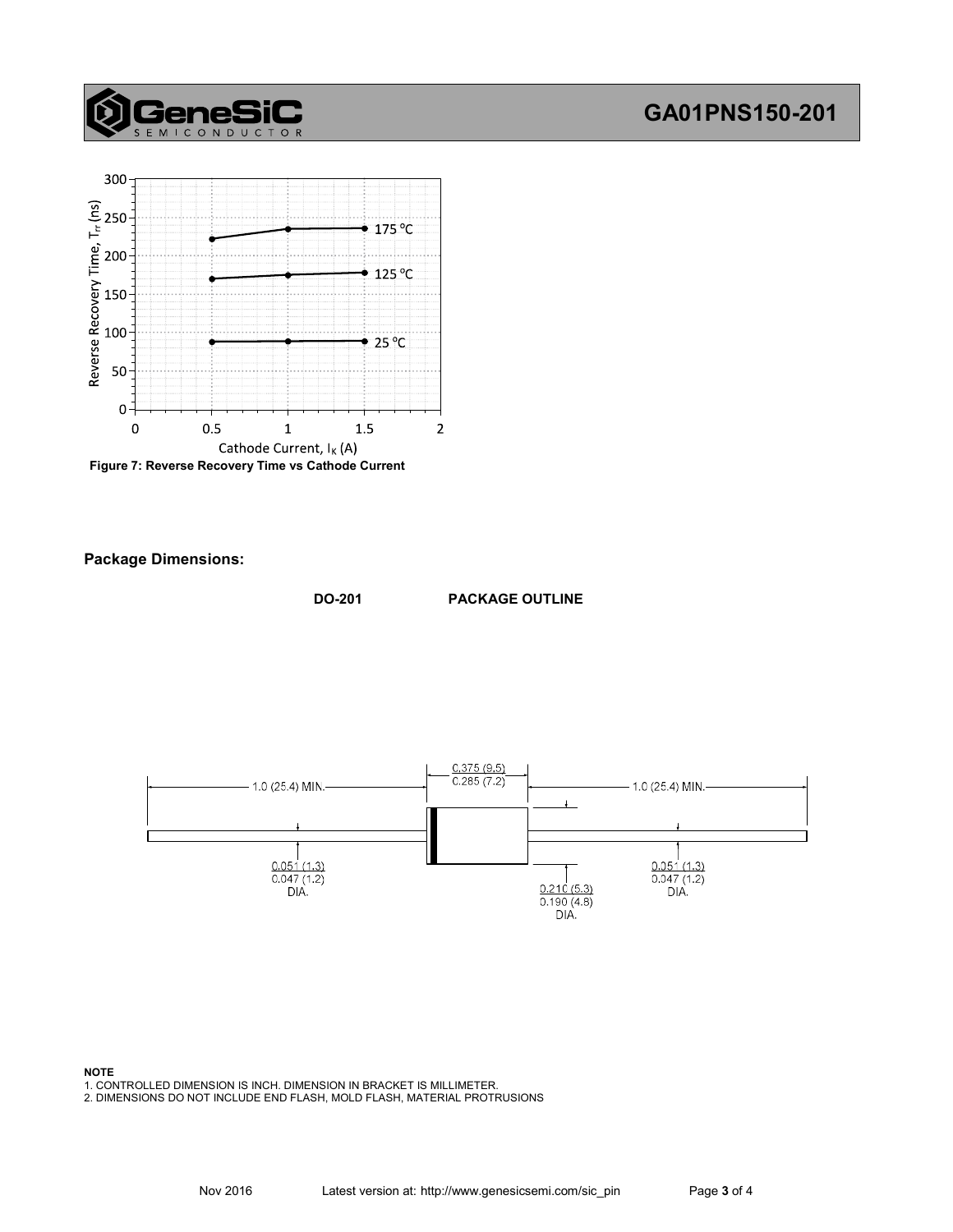## GA01PNS150-201



 $\mathsf{T}$  $\Omega$  $\overline{R}$ 

GeneSi

Figure 7: Reverse Recovery Time vs Cathode Current

Package Dimensions:

DO-201 PACKAGE OUTLINE



#### NOTE

1. CONTROLLED DIMENSION IS INCH. DIMENSION IN BRACKET IS MILLIMETER.

2. DIMENSIONS DO NOT INCLUDE END FLASH, MOLD FLASH, MATERIAL PROTRUSIONS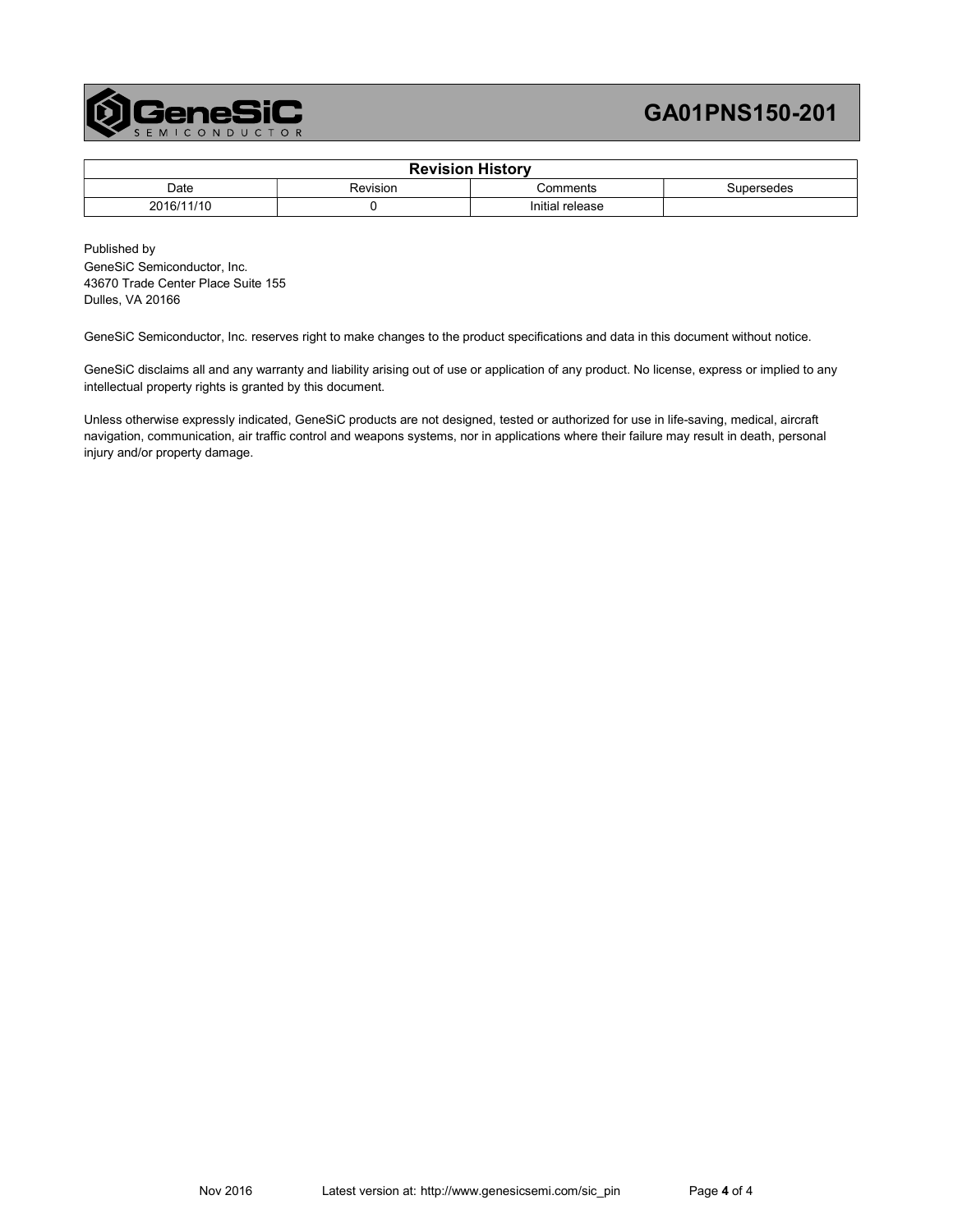

## GA01PNS150-201

| <b>Revision History</b> |          |                 |            |  |
|-------------------------|----------|-----------------|------------|--|
| Date                    | Revision | Comments        | Supersedes |  |
| 2016/11/10              |          | Initial release |            |  |

Published by GeneSiC Semiconductor, Inc. 43670 Trade Center Place Suite 155 Dulles, VA 20166

GeneSiC Semiconductor, Inc. reserves right to make changes to the product specifications and data in this document without notice.

GeneSiC disclaims all and any warranty and liability arising out of use or application of any product. No license, express or implied to any intellectual property rights is granted by this document.

Unless otherwise expressly indicated, GeneSiC products are not designed, tested or authorized for use in life-saving, medical, aircraft navigation, communication, air traffic control and weapons systems, nor in applications where their failure may result in death, personal injury and/or property damage.